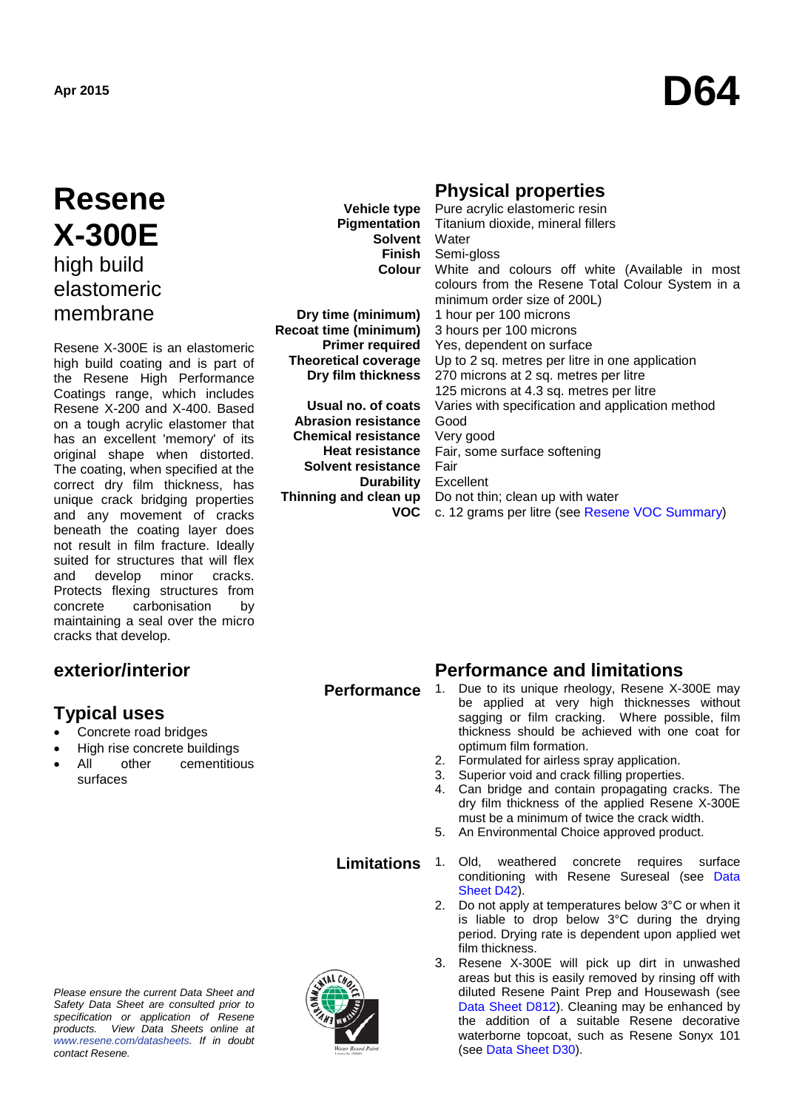# **Apr 2015 D64**

# **Resene X-300E** high build elastomeric membrane

Resene X-300E is an elastomeric high build coating and is part of the Resene High Performance Coatings range, which includes Resene X-200 and X-400. Based on a tough acrylic elastomer that has an excellent 'memory' of its original shape when distorted. The coating, when specified at the correct dry film thickness, has unique crack bridging properties and any movement of cracks beneath the coating layer does not result in film fracture. Ideally suited for structures that will flex and develop minor cracks. Protects flexing structures from concrete carbonisation by maintaining a seal over the micro cracks that develop.

# **exterior/interior**

# **Typical uses**

- Concrete road bridges
- **High rise concrete buildings**<br>All other cementition
- other cementitious surfaces

**Vehicle type Pigmentation Finish**

**Dry time (minimum) Recoat time (minimum) Primer required Theoretical coverage Dry film thickness**

**Usual no. of coats Abrasion resistance Chemical resistance Heat resistance Solvent resistance Durability Thinning and clean up VOC**

# **Physical properties**

**Solvent** Water **Colour** White and colours off white (Available in most Pure acrylic elastomeric resin Titanium dioxide, mineral fillers Semi-gloss colours from the Resene Total Colour System in a minimum order size of 200L) 1 hour per 100 microns 3 hours per 100 microns Yes, dependent on surface Up to 2 sq. metres per litre in one application 270 microns at 2 sq. metres per litre 125 microns at 4.3 sq. metres per litre Varies with specification and application method Good Very good Fair, some surface softening Fair Excellent Do not thin; clean up with water c. 12 grams per litre (see [Resene VOC Summary\)](http://www.resene.co.nz/archspec/datashts/vocsummary.pdf)

### **Performance**

# **Performance and limitations**<br>1. Due to its unique rheology. Resene X-3

- Due to its unique rheology, Resene X-300E may be applied at very high thicknesses without sagging or film cracking. Where possible, film thickness should be achieved with one coat for optimum film formation.
	- 2. Formulated for airless spray application.
	- 3. Superior void and crack filling properties.<br>4. Can bridge and contain propagating cra
	- Can bridge and contain propagating cracks. The dry film thickness of the applied Resene X-300E must be a minimum of twice the crack width.
	- 5. An Environmental Choice approved product.
- **Limitations** 1. Old, weathered concrete requires surface conditioning with Resene Sureseal (see [Data](http://www.resene.co.nz/archspec/datashts/d42_Sureseal_Sealer.pdf)  [Sheet D42\)](http://www.resene.co.nz/archspec/datashts/d42_Sureseal_Sealer.pdf).
	- 2. Do not apply at temperatures below 3°C or when it is liable to drop below 3°C during the drying period. Drying rate is dependent upon applied wet film thickness.
	- 3. Resene X-300E will pick up dirt in unwashed areas but this is easily removed by rinsing off with diluted Resene Paint Prep and Housewash (see [Data Sheet D812\)](http://www.resene.co.nz/archspec/datasheets/d812-Paint-Prep-Housewash.pdf). Cleaning may be enhanced by the addition of a suitable Resene decorative waterborne topcoat, such as Resene Sonyx 101 (see [Data Sheet D30\)](http://www.resene.co.nz/archspec/datasheets/d30-Sonyx-101-Acrylic.pdf).

*Please ensure the current Data Sheet and Safety Data Sheet are consulted prior to specification or application of Resene products. View Data Sheets online at [www.resene.com/datasheets.](http://www.resene.com/datasheets) If in doubt contact Resene.*